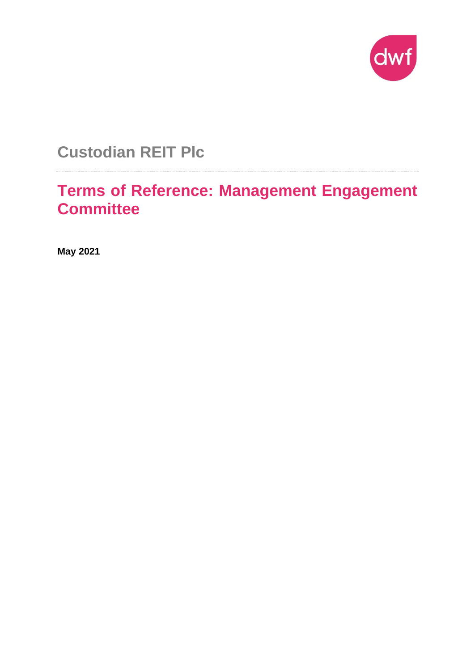

**Custodian REIT Plc**

**Terms of Reference: Management Engagement Committee**

**May 2021**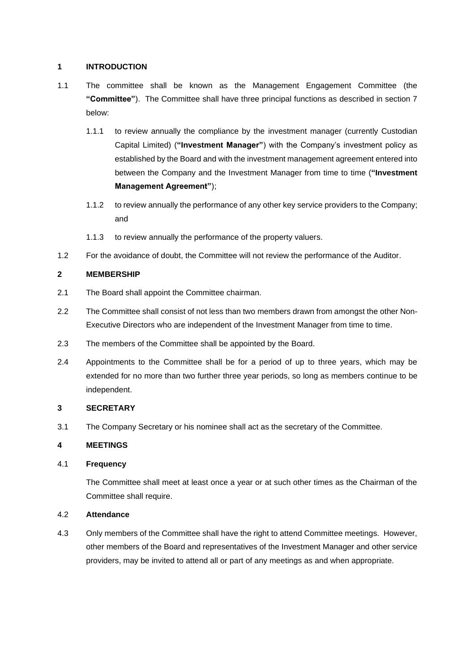## **1 INTRODUCTION**

- 1.1 The committee shall be known as the Management Engagement Committee (the **"Committee"**). The Committee shall have three principal functions as described in section 7 below:
	- 1.1.1 to review annually the compliance by the investment manager (currently Custodian Capital Limited) (**"Investment Manager"**) with the Company's investment policy as established by the Board and with the investment management agreement entered into between the Company and the Investment Manager from time to time (**"Investment Management Agreement"**);
	- 1.1.2 to review annually the performance of any other key service providers to the Company; and
	- 1.1.3 to review annually the performance of the property valuers.
- 1.2 For the avoidance of doubt, the Committee will not review the performance of the Auditor.

## **2 MEMBERSHIP**

- 2.1 The Board shall appoint the Committee chairman.
- 2.2 The Committee shall consist of not less than two members drawn from amongst the other Non-Executive Directors who are independent of the Investment Manager from time to time.
- 2.3 The members of the Committee shall be appointed by the Board.
- 2.4 Appointments to the Committee shall be for a period of up to three years, which may be extended for no more than two further three year periods, so long as members continue to be independent.

## **3 SECRETARY**

3.1 The Company Secretary or his nominee shall act as the secretary of the Committee.

## **4 MEETINGS**

## 4.1 **Frequency**

The Committee shall meet at least once a year or at such other times as the Chairman of the Committee shall require.

## 4.2 **Attendance**

4.3 Only members of the Committee shall have the right to attend Committee meetings. However, other members of the Board and representatives of the Investment Manager and other service providers, may be invited to attend all or part of any meetings as and when appropriate.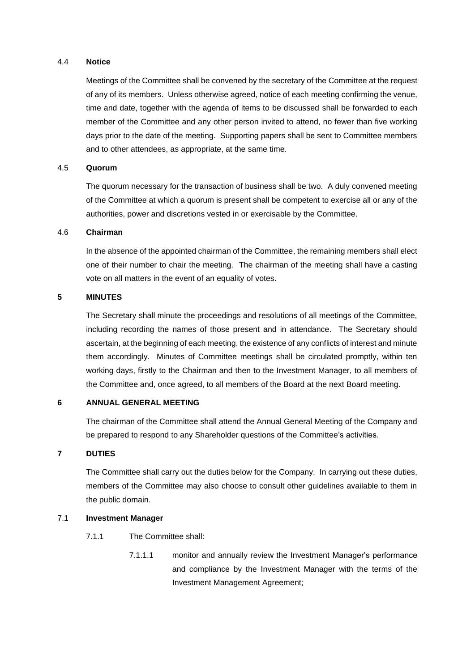### 4.4 **Notice**

Meetings of the Committee shall be convened by the secretary of the Committee at the request of any of its members. Unless otherwise agreed, notice of each meeting confirming the venue, time and date, together with the agenda of items to be discussed shall be forwarded to each member of the Committee and any other person invited to attend, no fewer than five working days prior to the date of the meeting. Supporting papers shall be sent to Committee members and to other attendees, as appropriate, at the same time.

### 4.5 **Quorum**

The quorum necessary for the transaction of business shall be two. A duly convened meeting of the Committee at which a quorum is present shall be competent to exercise all or any of the authorities, power and discretions vested in or exercisable by the Committee.

### 4.6 **Chairman**

In the absence of the appointed chairman of the Committee, the remaining members shall elect one of their number to chair the meeting. The chairman of the meeting shall have a casting vote on all matters in the event of an equality of votes.

## **5 MINUTES**

The Secretary shall minute the proceedings and resolutions of all meetings of the Committee, including recording the names of those present and in attendance. The Secretary should ascertain, at the beginning of each meeting, the existence of any conflicts of interest and minute them accordingly. Minutes of Committee meetings shall be circulated promptly, within ten working days, firstly to the Chairman and then to the Investment Manager, to all members of the Committee and, once agreed, to all members of the Board at the next Board meeting.

#### **6 ANNUAL GENERAL MEETING**

The chairman of the Committee shall attend the Annual General Meeting of the Company and be prepared to respond to any Shareholder questions of the Committee's activities.

## **7 DUTIES**

The Committee shall carry out the duties below for the Company. In carrying out these duties, members of the Committee may also choose to consult other guidelines available to them in the public domain.

## 7.1 **Investment Manager**

- 7.1.1 The Committee shall:
	- 7.1.1.1 monitor and annually review the Investment Manager's performance and compliance by the Investment Manager with the terms of the Investment Management Agreement;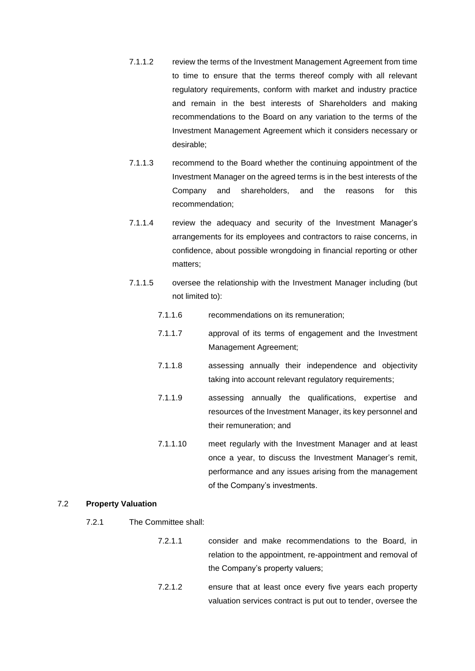- 7.1.1.2 review the terms of the Investment Management Agreement from time to time to ensure that the terms thereof comply with all relevant regulatory requirements, conform with market and industry practice and remain in the best interests of Shareholders and making recommendations to the Board on any variation to the terms of the Investment Management Agreement which it considers necessary or desirable;
- 7.1.1.3 recommend to the Board whether the continuing appointment of the Investment Manager on the agreed terms is in the best interests of the Company and shareholders, and the reasons for this recommendation;
- 7.1.1.4 review the adequacy and security of the Investment Manager's arrangements for its employees and contractors to raise concerns, in confidence, about possible wrongdoing in financial reporting or other matters;
- 7.1.1.5 oversee the relationship with the Investment Manager including (but not limited to):
	- 7.1.1.6 recommendations on its remuneration;
	- 7.1.1.7 approval of its terms of engagement and the Investment Management Agreement;
	- 7.1.1.8 assessing annually their independence and objectivity taking into account relevant regulatory requirements;
	- 7.1.1.9 assessing annually the qualifications, expertise and resources of the Investment Manager, its key personnel and their remuneration; and
	- 7.1.1.10 meet regularly with the Investment Manager and at least once a year, to discuss the Investment Manager's remit, performance and any issues arising from the management of the Company's investments.

#### 7.2 **Property Valuation**

- 7.2.1 The Committee shall:
	- 7.2.1.1 consider and make recommendations to the Board, in relation to the appointment, re-appointment and removal of the Company's property valuers;
	- 7.2.1.2 ensure that at least once every five years each property valuation services contract is put out to tender, oversee the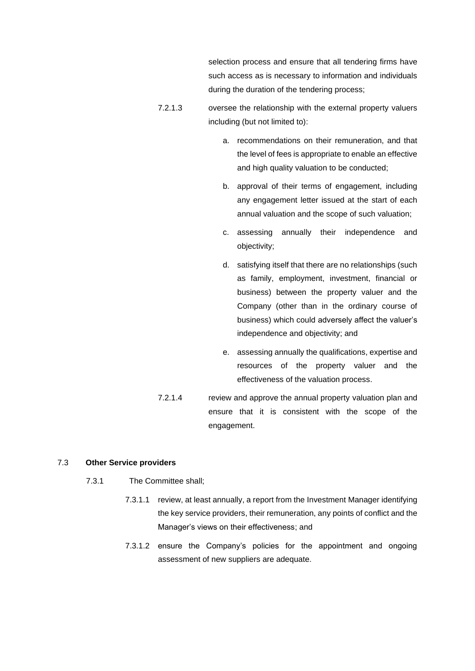selection process and ensure that all tendering firms have such access as is necessary to information and individuals during the duration of the tendering process;

- 7.2.1.3 oversee the relationship with the external property valuers including (but not limited to):
	- a. recommendations on their remuneration, and that the level of fees is appropriate to enable an effective and high quality valuation to be conducted;
	- b. approval of their terms of engagement, including any engagement letter issued at the start of each annual valuation and the scope of such valuation;
	- c. assessing annually their independence and objectivity;
	- d. satisfying itself that there are no relationships (such as family, employment, investment, financial or business) between the property valuer and the Company (other than in the ordinary course of business) which could adversely affect the valuer's independence and objectivity; and
	- e. assessing annually the qualifications, expertise and resources of the property valuer and the effectiveness of the valuation process.
- 7.2.1.4 review and approve the annual property valuation plan and ensure that it is consistent with the scope of the engagement.

#### 7.3 **Other Service providers**

- 7.3.1 The Committee shall;
	- 7.3.1.1 review, at least annually, a report from the Investment Manager identifying the key service providers, their remuneration, any points of conflict and the Manager's views on their effectiveness; and
	- 7.3.1.2 ensure the Company's policies for the appointment and ongoing assessment of new suppliers are adequate.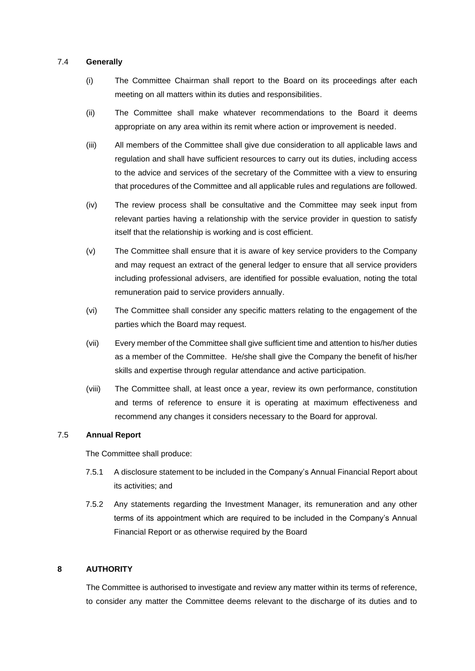### 7.4 **Generally**

- (i) The Committee Chairman shall report to the Board on its proceedings after each meeting on all matters within its duties and responsibilities.
- (ii) The Committee shall make whatever recommendations to the Board it deems appropriate on any area within its remit where action or improvement is needed.
- (iii) All members of the Committee shall give due consideration to all applicable laws and regulation and shall have sufficient resources to carry out its duties, including access to the advice and services of the secretary of the Committee with a view to ensuring that procedures of the Committee and all applicable rules and regulations are followed.
- (iv) The review process shall be consultative and the Committee may seek input from relevant parties having a relationship with the service provider in question to satisfy itself that the relationship is working and is cost efficient.
- (v) The Committee shall ensure that it is aware of key service providers to the Company and may request an extract of the general ledger to ensure that all service providers including professional advisers, are identified for possible evaluation, noting the total remuneration paid to service providers annually.
- (vi) The Committee shall consider any specific matters relating to the engagement of the parties which the Board may request.
- (vii) Every member of the Committee shall give sufficient time and attention to his/her duties as a member of the Committee. He/she shall give the Company the benefit of his/her skills and expertise through regular attendance and active participation.
- (viii) The Committee shall, at least once a year, review its own performance, constitution and terms of reference to ensure it is operating at maximum effectiveness and recommend any changes it considers necessary to the Board for approval.

## 7.5 **Annual Report**

The Committee shall produce:

- 7.5.1 A disclosure statement to be included in the Company's Annual Financial Report about its activities; and
- 7.5.2 Any statements regarding the Investment Manager, its remuneration and any other terms of its appointment which are required to be included in the Company's Annual Financial Report or as otherwise required by the Board

## **8 AUTHORITY**

The Committee is authorised to investigate and review any matter within its terms of reference, to consider any matter the Committee deems relevant to the discharge of its duties and to